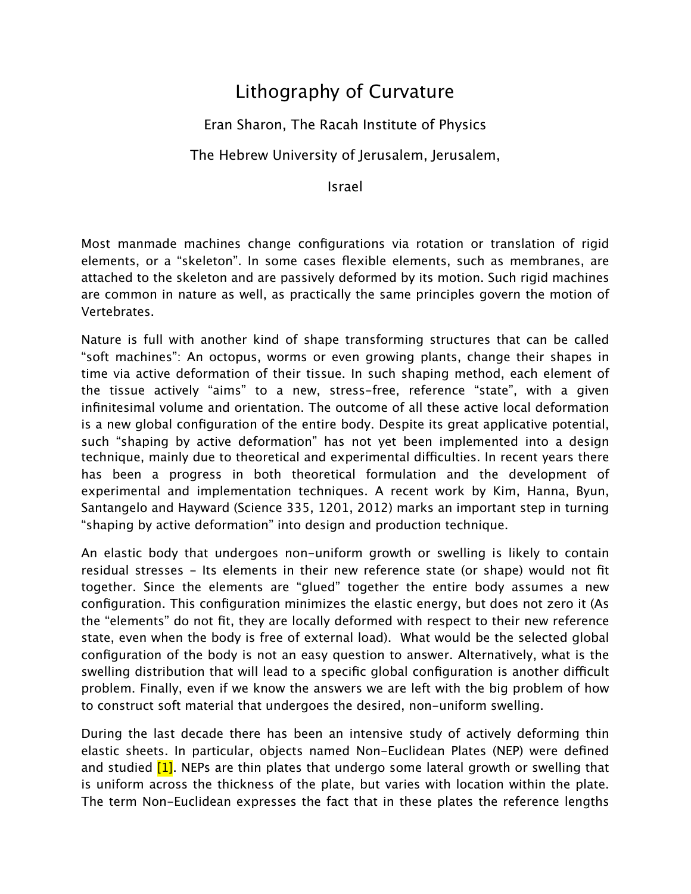## Lithography of Curvature

## Eran Sharon, The Racah Institute of Physics

## The Hebrew University of Jerusalem, Jerusalem,

Israel

Most manmade machines change configurations via rotation or translation of rigid elements, or a "skeleton". In some cases flexible elements, such as membranes, are attached to the skeleton and are passively deformed by its motion. Such rigid machines are common in nature as well, as practically the same principles govern the motion of Vertebrates.

Nature is full with another kind of shape transforming structures that can be called "soft machines": An octopus, worms or even growing plants, change their shapes in time via active deformation of their tissue. In such shaping method, each element of the tissue actively "aims" to a new, stress-free, reference "state", with a given infinitesimal volume and orientation. The outcome of all these active local deformation is a new global configuration of the entire body. Despite its great applicative potential, such "shaping by active deformation" has not yet been implemented into a design technique, mainly due to theoretical and experimental difficulties. In recent years there has been a progress in both theoretical formulation and the development of experimental and implementation techniques. A recent work by Kim, Hanna, Byun, Santangelo and Hayward (Science 335, 1201, 2012) marks an important step in turning "shaping by active deformation" into design and production technique.

An elastic body that undergoes non-uniform growth or swelling is likely to contain residual stresses - Its elements in their new reference state (or shape) would not fit together. Since the elements are "glued" together the entire body assumes a new configuration. This configuration minimizes the elastic energy, but does not zero it (As the "elements" do not fit, they are locally deformed with respect to their new reference state, even when the body is free of external load). What would be the selected global configuration of the body is not an easy question to answer. Alternatively, what is the swelling distribution that will lead to a specific global configuration is another difficult problem. Finally, even if we know the answers we are left with the big problem of how to construct soft material that undergoes the desired, non-uniform swelling.

During the last decade there has been an intensive study of actively deforming thin elastic sheets. In particular, objects named Non-Euclidean Plates (NEP) were defined and studied  $[1]$ . NEPs are thin plates that undergo some lateral growth or swelling that is uniform across the thickness of the plate, but varies with location within the plate. The term Non-Euclidean expresses the fact that in these plates the reference lengths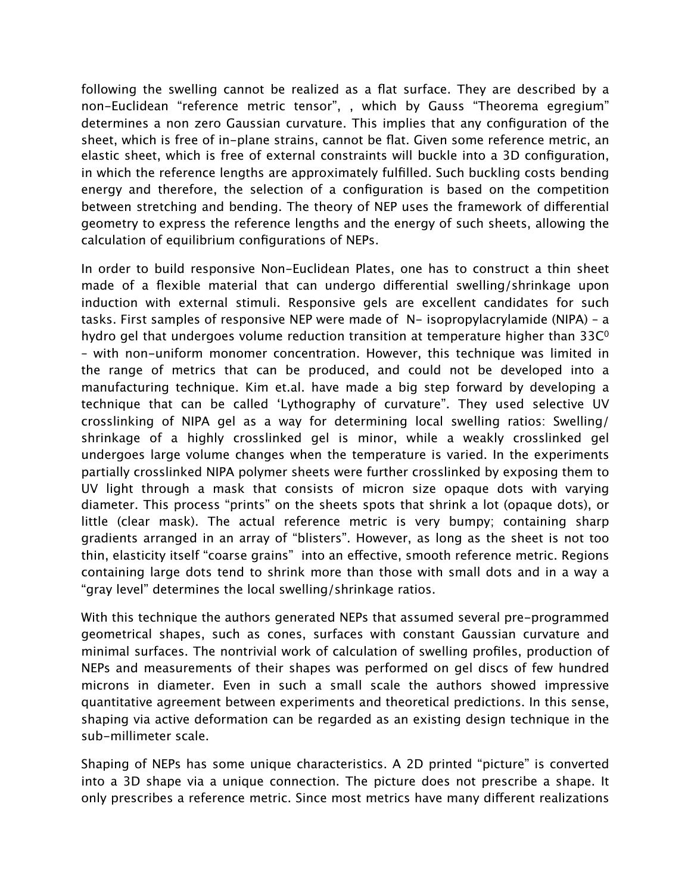following the swelling cannot be realized as a flat surface. They are described by a non-Euclidean "reference metric tensor", , which by Gauss "Theorema egregium" determines a non zero Gaussian curvature. This implies that any configuration of the sheet, which is free of in-plane strains, cannot be flat. Given some reference metric, an elastic sheet, which is free of external constraints will buckle into a 3D configuration, in which the reference lengths are approximately fulfilled. Such buckling costs bending energy and therefore, the selection of a configuration is based on the competition between stretching and bending. The theory of NEP uses the framework of diferential geometry to express the reference lengths and the energy of such sheets, allowing the calculation of equilibrium configurations of NEPs.

In order to build responsive Non-Euclidean Plates, one has to construct a thin sheet made of a flexible material that can undergo diferential swelling/shrinkage upon induction with external stimuli. Responsive gels are excellent candidates for such tasks. First samples of responsive NEP were made of N- isopropylacrylamide (NIPA) – a hydro gel that undergoes volume reduction transition at temperature higher than  $33C<sup>o</sup>$ – with non-uniform monomer concentration. However, this technique was limited in the range of metrics that can be produced, and could not be developed into a manufacturing technique. Kim et.al. have made a big step forward by developing a technique that can be called 'Lythography of curvature". They used selective UV crosslinking of NIPA gel as a way for determining local swelling ratios: Swelling/ shrinkage of a highly crosslinked gel is minor, while a weakly crosslinked gel undergoes large volume changes when the temperature is varied. In the experiments partially crosslinked NIPA polymer sheets were further crosslinked by exposing them to UV light through a mask that consists of micron size opaque dots with varying diameter. This process "prints" on the sheets spots that shrink a lot (opaque dots), or little (clear mask). The actual reference metric is very bumpy; containing sharp gradients arranged in an array of "blisters". However, as long as the sheet is not too thin, elasticity itself "coarse grains" into an efective, smooth reference metric. Regions containing large dots tend to shrink more than those with small dots and in a way a "gray level" determines the local swelling/shrinkage ratios.

With this technique the authors generated NEPs that assumed several pre-programmed geometrical shapes, such as cones, surfaces with constant Gaussian curvature and minimal surfaces. The nontrivial work of calculation of swelling profiles, production of NEPs and measurements of their shapes was performed on gel discs of few hundred microns in diameter. Even in such a small scale the authors showed impressive quantitative agreement between experiments and theoretical predictions. In this sense, shaping via active deformation can be regarded as an existing design technique in the sub-millimeter scale.

Shaping of NEPs has some unique characteristics. A 2D printed "picture" is converted into a 3D shape via a unique connection. The picture does not prescribe a shape. It only prescribes a reference metric. Since most metrics have many diferent realizations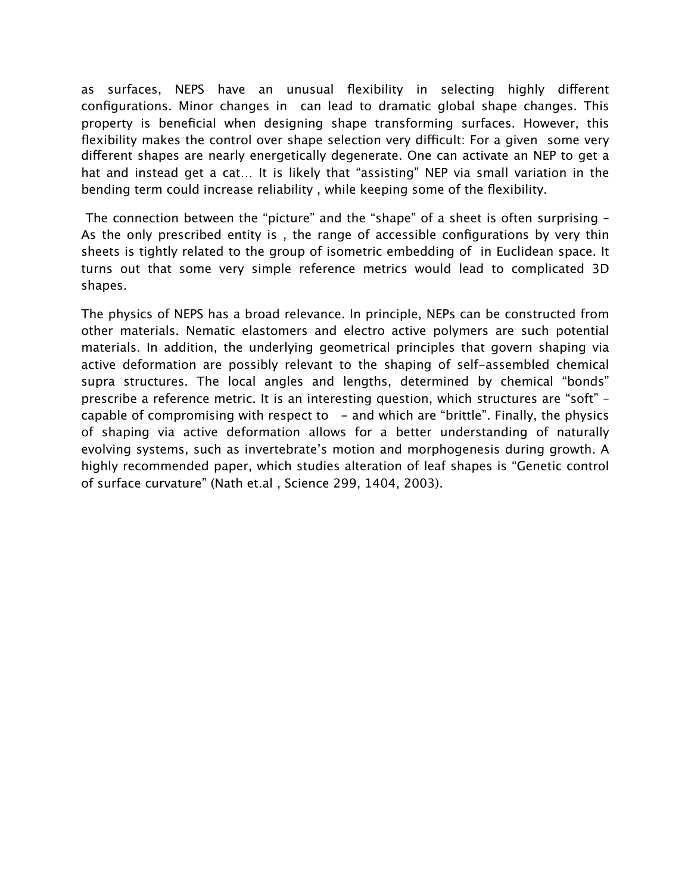as surfaces, NEPS have an unusual flexibility in selecting highly diferent configurations. Minor changes in can lead to dramatic global shape changes. This property is beneficial when designing shape transforming surfaces. However, this flexibility makes the control over shape selection very difficult: For a given some very diferent shapes are nearly energetically degenerate. One can activate an NEP to get a hat and instead get a cat… It is likely that "assisting" NEP via small variation in the bending term could increase reliability , while keeping some of the flexibility.

 The connection between the "picture" and the "shape" of a sheet is often surprising – As the only prescribed entity is , the range of accessible configurations by very thin sheets is tightly related to the group of isometric embedding of in Euclidean space. It turns out that some very simple reference metrics would lead to complicated 3D shapes.

The physics of NEPS has a broad relevance. In principle, NEPs can be constructed from other materials. Nematic elastomers and electro active polymers are such potential materials. In addition, the underlying geometrical principles that govern shaping via active deformation are possibly relevant to the shaping of self-assembled chemical supra structures. The local angles and lengths, determined by chemical "bonds" prescribe a reference metric. It is an interesting question, which structures are "soft" – capable of compromising with respect to  $-$  and which are "brittle". Finally, the physics of shaping via active deformation allows for a better understanding of naturally evolving systems, such as invertebrate's motion and morphogenesis during growth. A highly recommended paper, which studies alteration of leaf shapes is "Genetic control of surface curvature" (Nath et.al , Science 299, 1404, 2003).